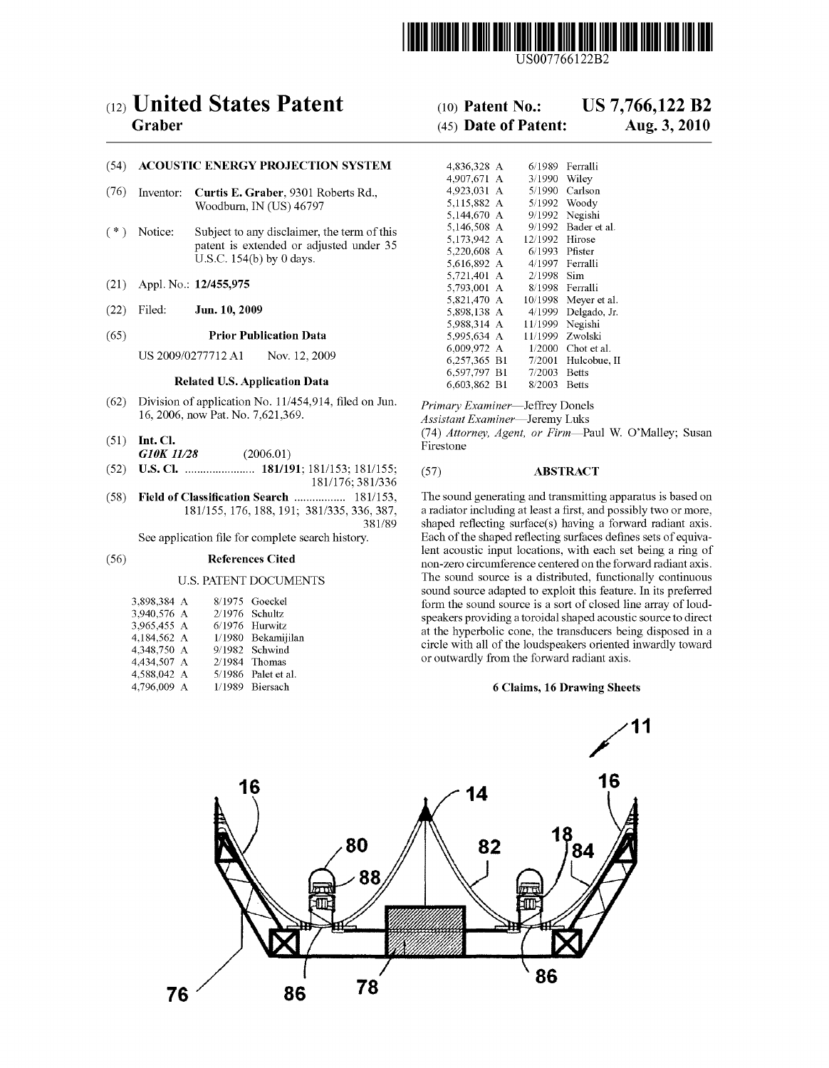

USOO7766122B2

# (12) United States Patent (10) Patent No.: US 7,766,122 B2<br>Graber (45) Date of Patent: Aug. 3, 2010

# (54) ACOUSTIC ENERGY PROJECTION SYSTEM

- (76) Inventor: Curtis E. Graber, 9301 Roberts Rd., Woodburn, IN (US) 46797
- $(*)$  Notice: Subject to any disclaimer, the term of this patent is extended or adjusted under 35 U.S.C.  $154(b)$  by 0 days.
- $(21)$  Appl. No.: 12/455,975
- 

# (65) Prior Publication Data

# Related U.S. Application Data

- (62) Division of application No. 11/454,914, filed on Jun.  $Primary Examine$ —Jeffrey Donels<br>16, 2006, now Pat. No. 7,621,369. Assistant Examiner—Jeremy Luks
- G10K 11/28
- 
- (52) U.S. Cl. ....................... 181/191; 181/153; 181/155; (57) ABSTRACT 181/176; 381/336<br>
(58) Field of Classification Search ..................... 181/153,
- 

| 3,898,384 A |  | 8/1975 Goeckel      |
|-------------|--|---------------------|
| 3,940,576 A |  | $2/1976$ Schultz    |
| 3,965,455 A |  | 6/1976 Hurwitz      |
| 4.184.562 A |  | 1/1980 Bekamijila:  |
| 4.348.750 A |  | 9/1982 Schwind      |
| 4,434,507 A |  | $2/1984$ Thomas     |
| 4,588,042 A |  | 5/1986 Palet et al. |
| 4.796,009 A |  | 1/1989 Biersach     |
|             |  |                     |

# $(45)$  Date of Patent:

| (54)                                 |                                                                                                                      | <b>ACOUSTIC ENERGY PROJECTION SYSTEM</b> | 4,836,328 A      |                      | 6/1989 Ferralli       |
|--------------------------------------|----------------------------------------------------------------------------------------------------------------------|------------------------------------------|------------------|----------------------|-----------------------|
|                                      |                                                                                                                      |                                          | 4.907.671 A      | 3/1990               | Wiley                 |
| (76)                                 | Inventor:                                                                                                            | Curtis E. Graber, 9301 Roberts Rd.,      | 4,923,031 A      | 5/1990               | Carlson               |
|                                      | Woodburn, IN (US) 46797                                                                                              | 5,115,882 A                              |                  | 5/1992 Woody         |                       |
|                                      |                                                                                                                      | 5,144,670 A                              |                  | 9/1992 Negishi       |                       |
| $(\ast)$<br>Notice:                  | Subject to any disclaimer, the term of this<br>patent is extended or adjusted under 35<br>U.S.C. $154(b)$ by 0 days. | 5,146,508 A                              |                  | 9/1992 Bader et al.  |                       |
|                                      |                                                                                                                      | 5,173,942 A                              | 12/1992 Hirose   |                      |                       |
|                                      |                                                                                                                      | 5,220,608 A                              | $6/1993$ Pfister |                      |                       |
|                                      |                                                                                                                      | 5,616,892 A                              |                  | 4/1997 Ferralli      |                       |
|                                      |                                                                                                                      | 5,721,401 A                              | $2/1998$ Sim     |                      |                       |
| (21)                                 |                                                                                                                      | Appl. No.: 12/455,975                    | 5,793,001 A      |                      | 8/1998 Ferralli       |
|                                      |                                                                                                                      | 5,821,470 A                              |                  | 10/1998 Meyer et al. |                       |
| (22)                                 | Filed:                                                                                                               | Jun. 10, 2009                            | 5.898.138 A      |                      | $4/1999$ Delgado, Jr. |
|                                      |                                                                                                                      |                                          | 5.988.314 A      | 11/1999 Negishi      |                       |
| (65)                                 |                                                                                                                      | <b>Prior Publication Data</b>            | 5.995.634 A      | 11/1999              | Zwolski               |
|                                      | US 2009/0277712 A1<br>Nov. 12, 2009                                                                                  | 6,009,972 A                              | 1/2000           | Chot et al.          |                       |
|                                      |                                                                                                                      | 6,257,365 B1                             |                  | 7/2001 Hulcobue, II  |                       |
| <b>Related U.S. Application Data</b> |                                                                                                                      | 6,597,797 B1                             | 7/2003           | Betts                |                       |
|                                      |                                                                                                                      | 6.603.862 B1                             | $8/2003$ Reffs   |                      |                       |

Assistant Examiner-Jeremy Luks (51) Int. Cl. (74) Attorney, Agent, or Firm—Paul W. O'Malley; Susan G10K 11/28 (2006.01)

Classification Search ......................... 181/153, The sound generating and transmitting apparatus is based on 181/155, 176, 188, 191; 381/335, 336, 387, a radiator including at least a first, and possibly two or mor 18165, 1887, a radiator including at least a first, and possibly two or more, 381/89 shaped reflecting surface(s) having a forward radiant axis. shaped reflecting surface(s) having a forward radiant axis. See application file for complete search history. Each of the shaped reflecting surfaces defines sets of equiva lent acoustic input locations, with each set being a ring of (56) References Cited non-zero circumference centered on the forward radiant axis. U.S. PATENT DOCUMENTS The sound source is a distributed, functionally continuous sound source adapted to exploit this feature. In its preferred form the sound source is a sort of closed line array of loudspeakers providing a toroidal shaped acoustic source to direct 4.184,562 at the hyperbolic cone, the transducers being disposed in a<br>the hyperbolic cone, the transducers being disposed in a circle with all of the loudspeakers oriented inwardly toward or outwardly from the forward radiant axis.

### 6 Claims, 16 Drawing Sheets

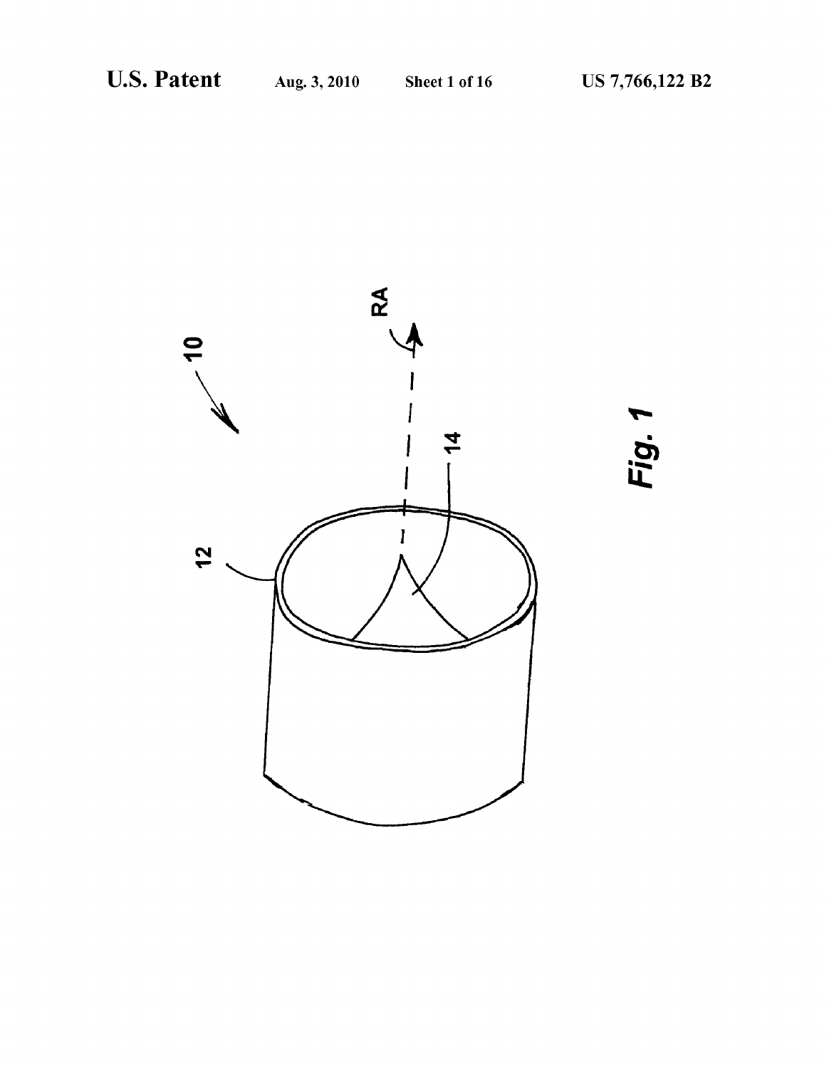Fig. 1

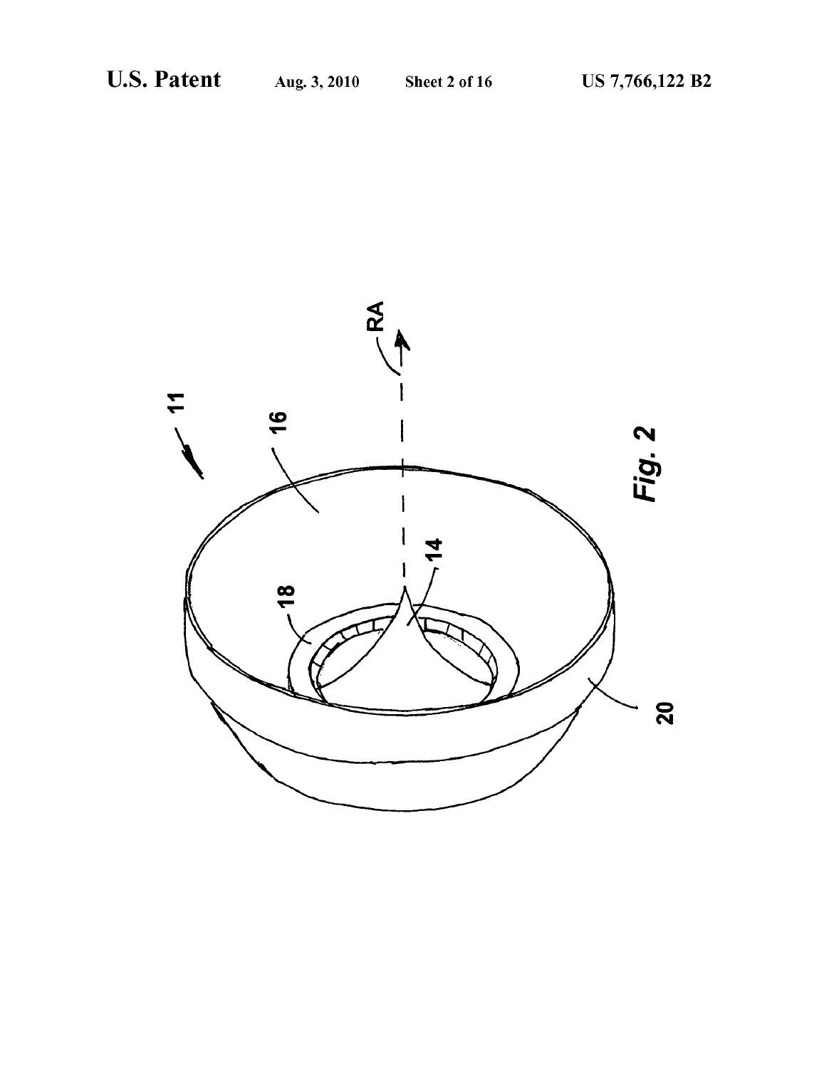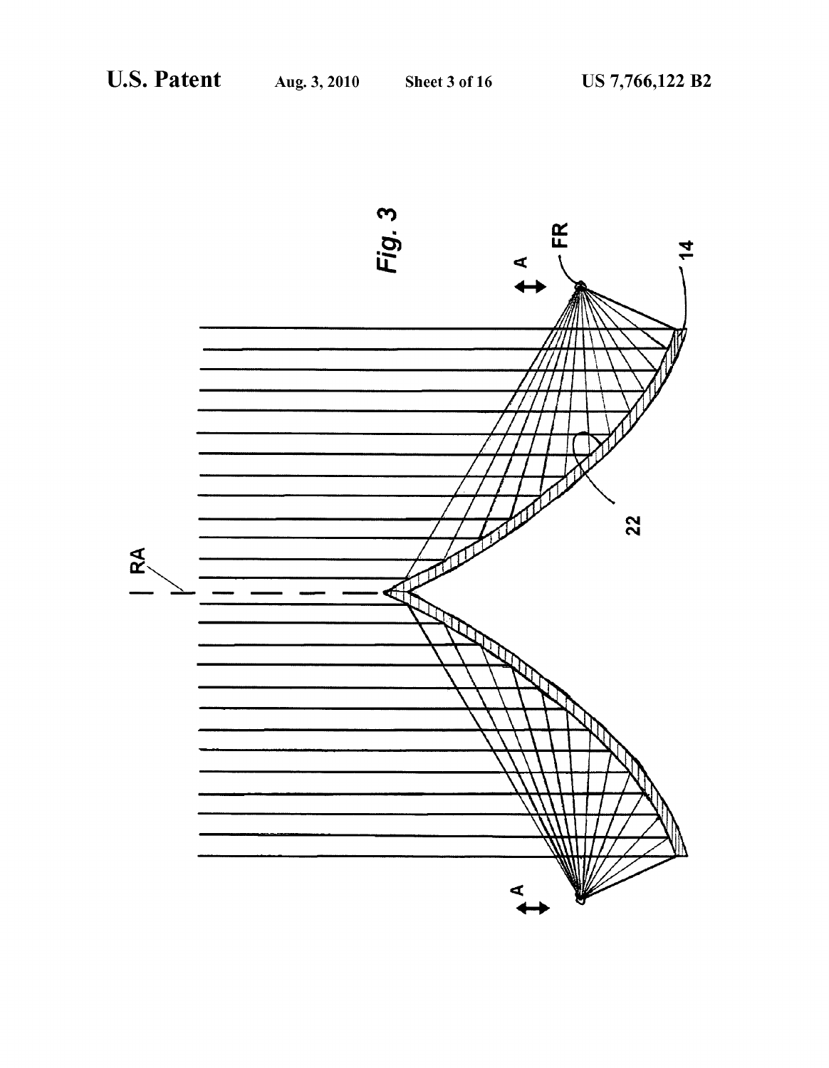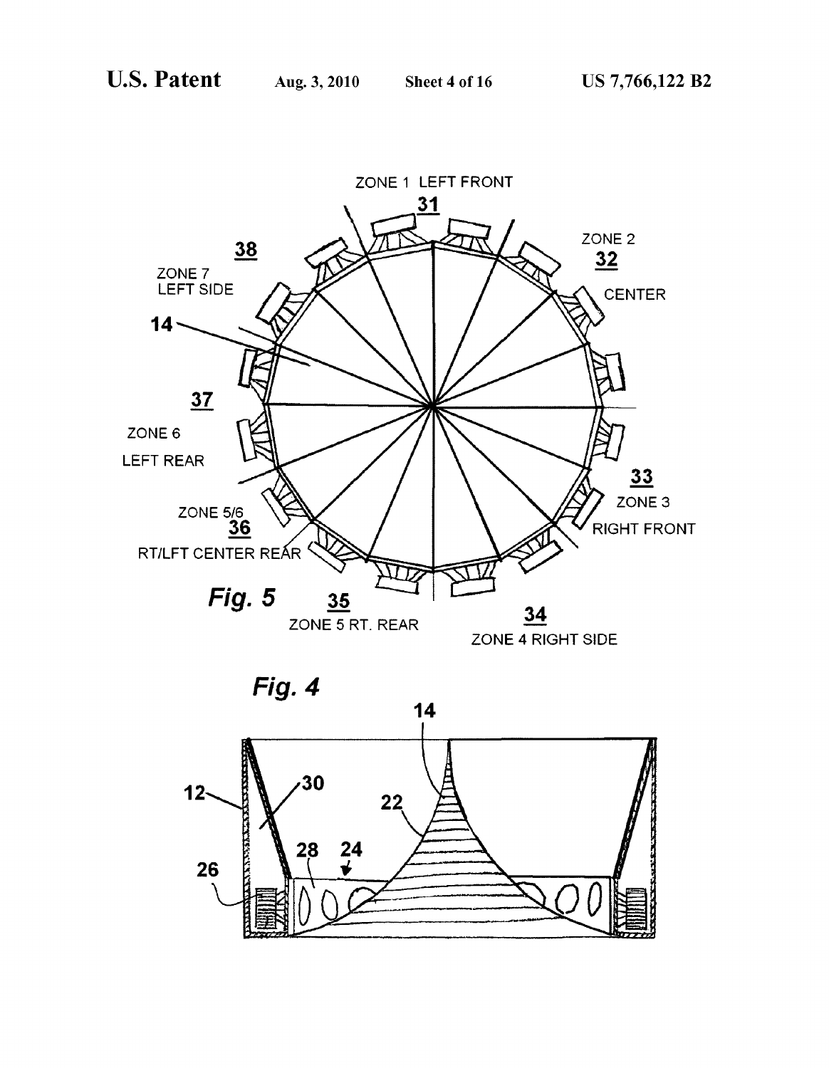

ZONE 4 RIGHT SIDE

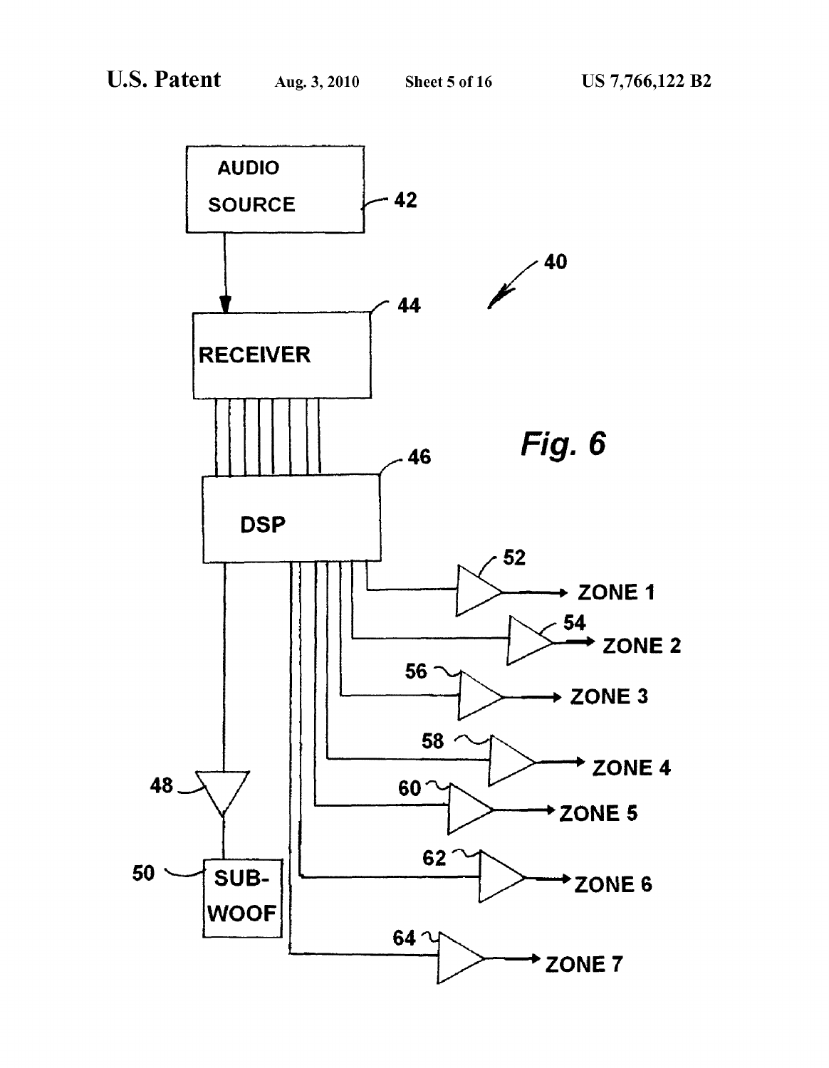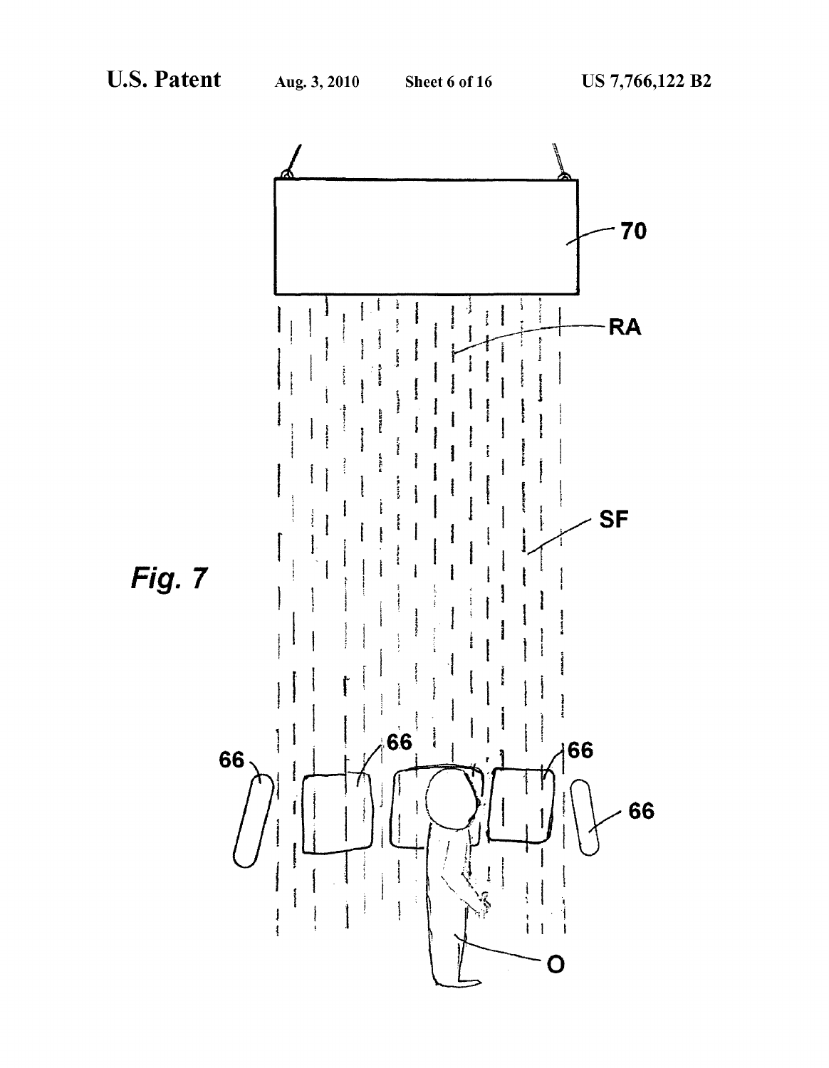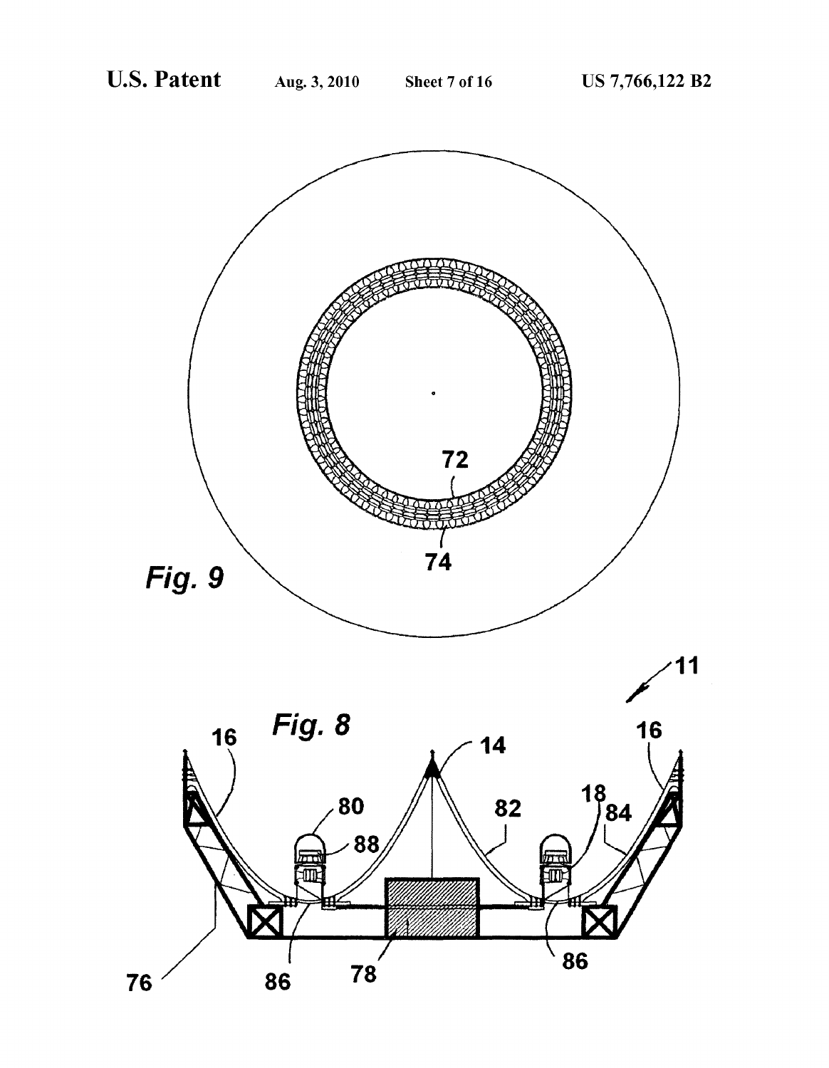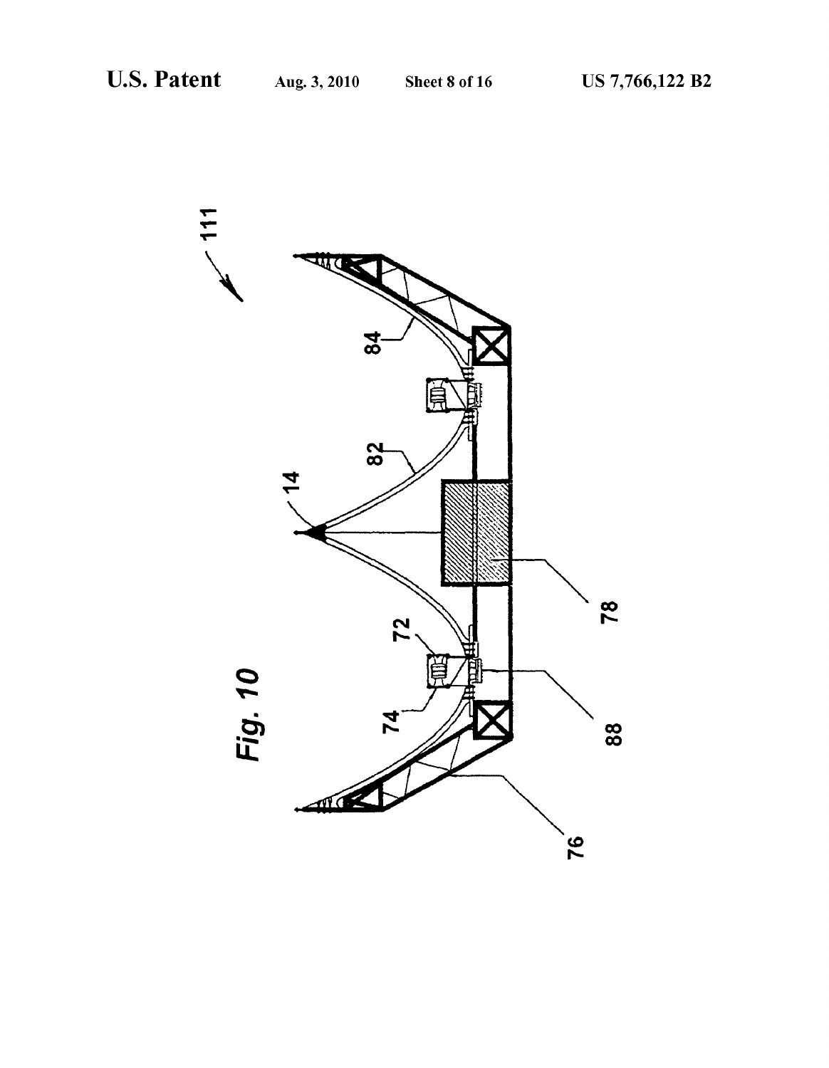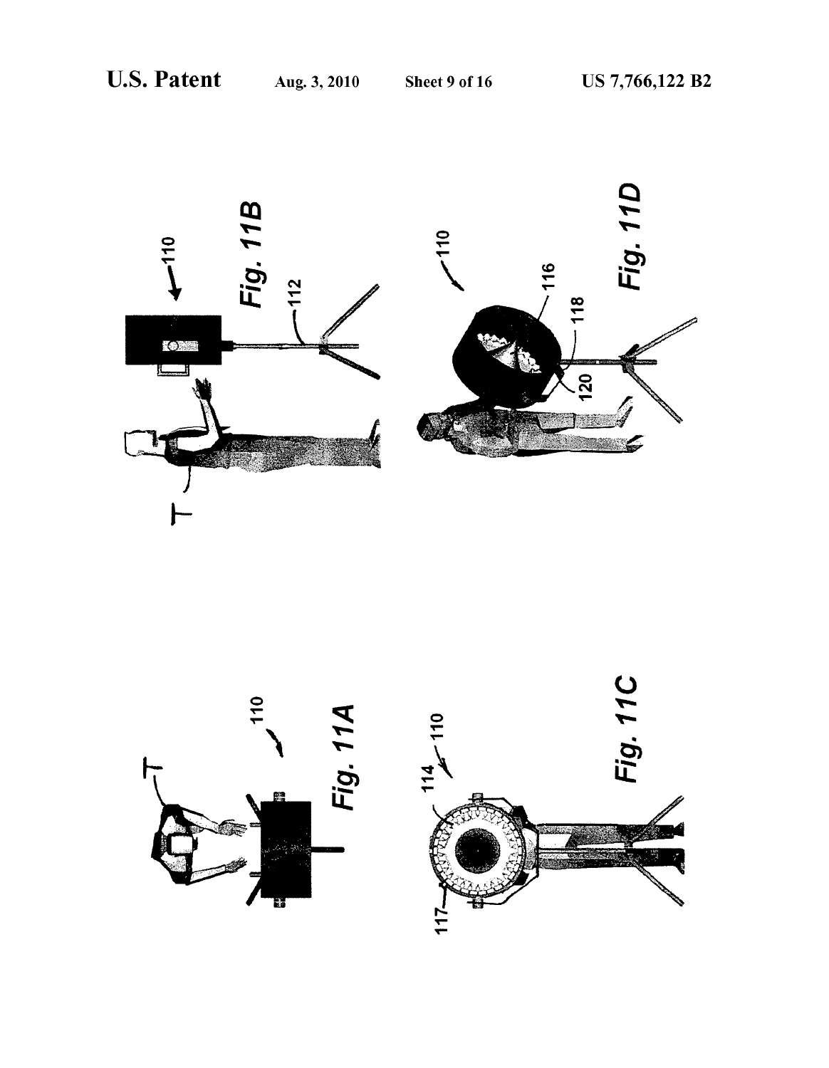



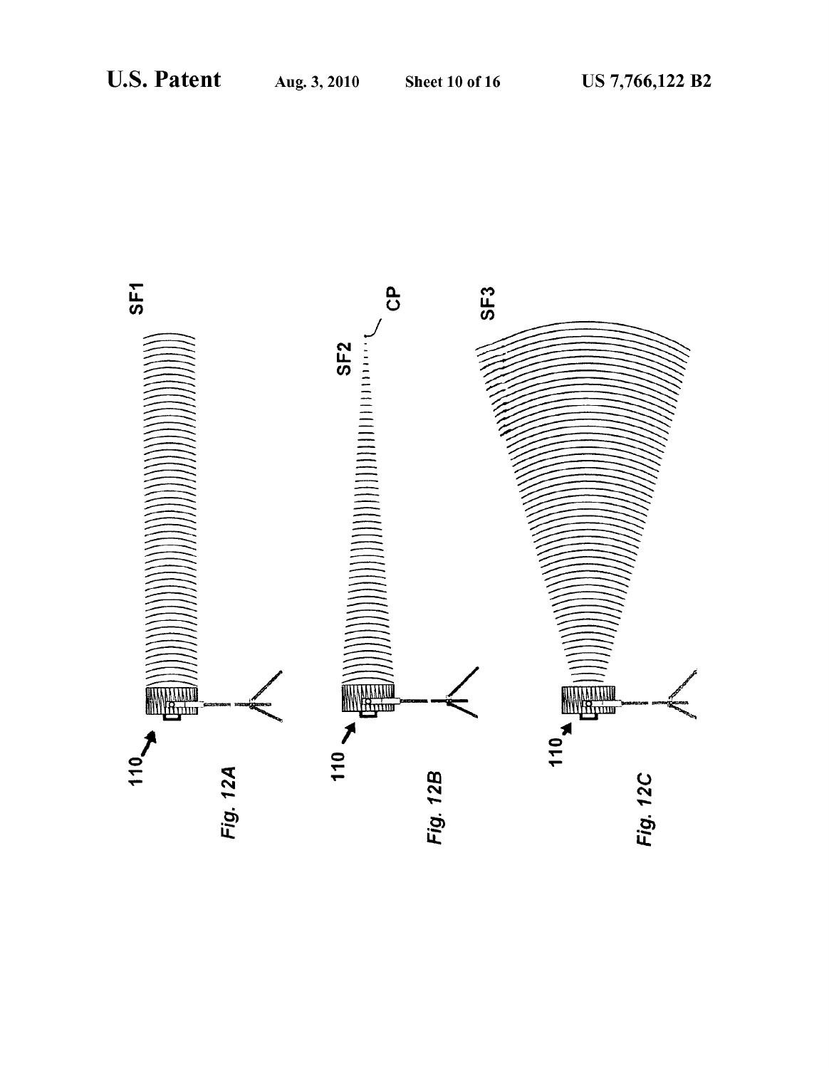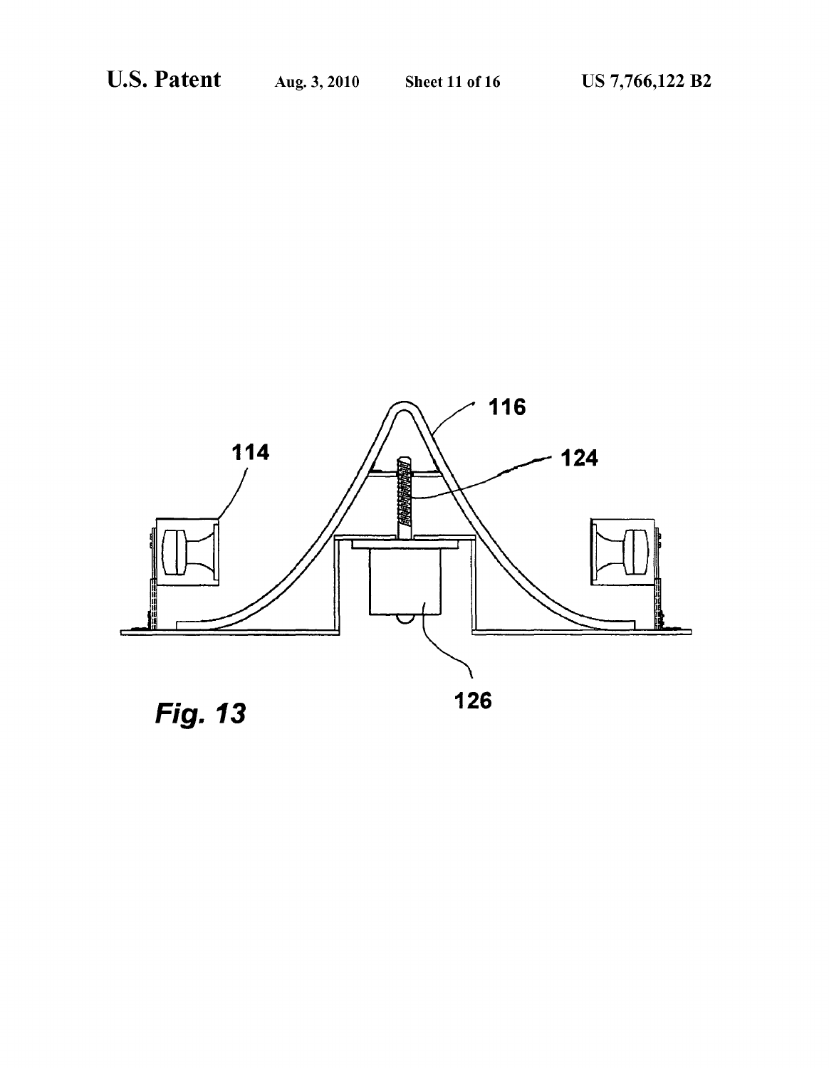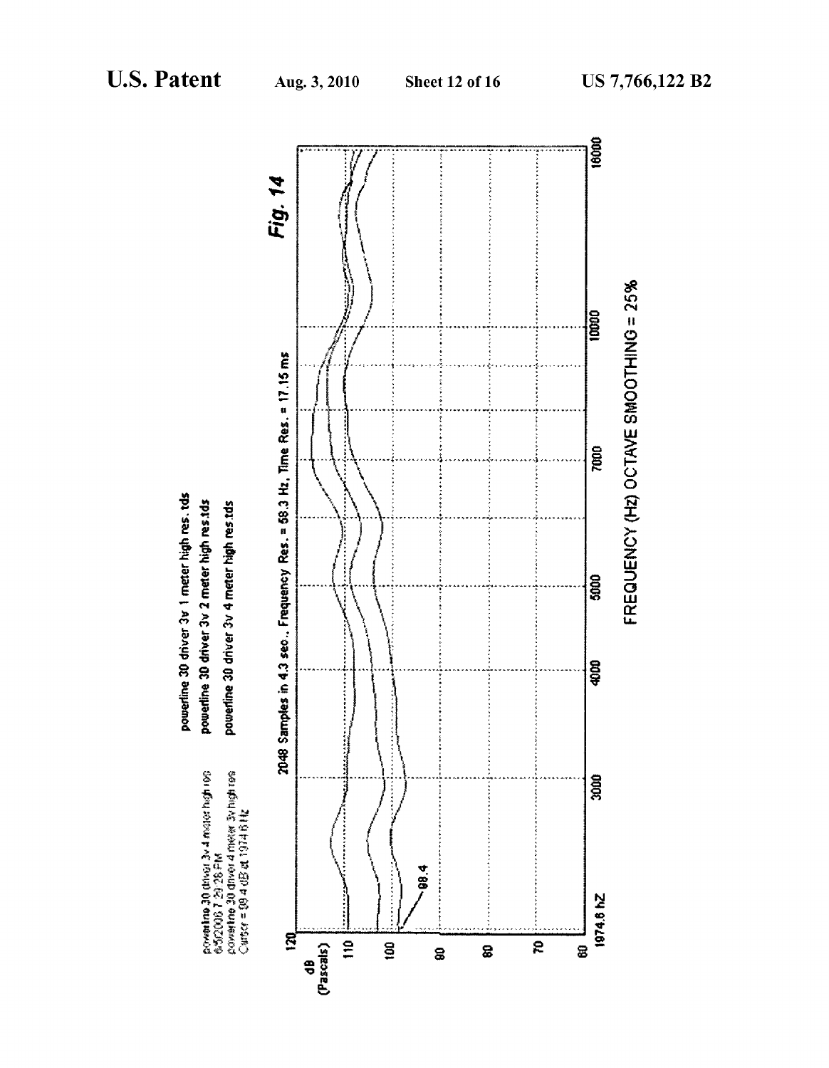

powerline 30 driver 3v 1 meter high res. tds powertine 30 driver 3v 2 meter high res.tds powerline 30 driver 3v 4 meter high resitds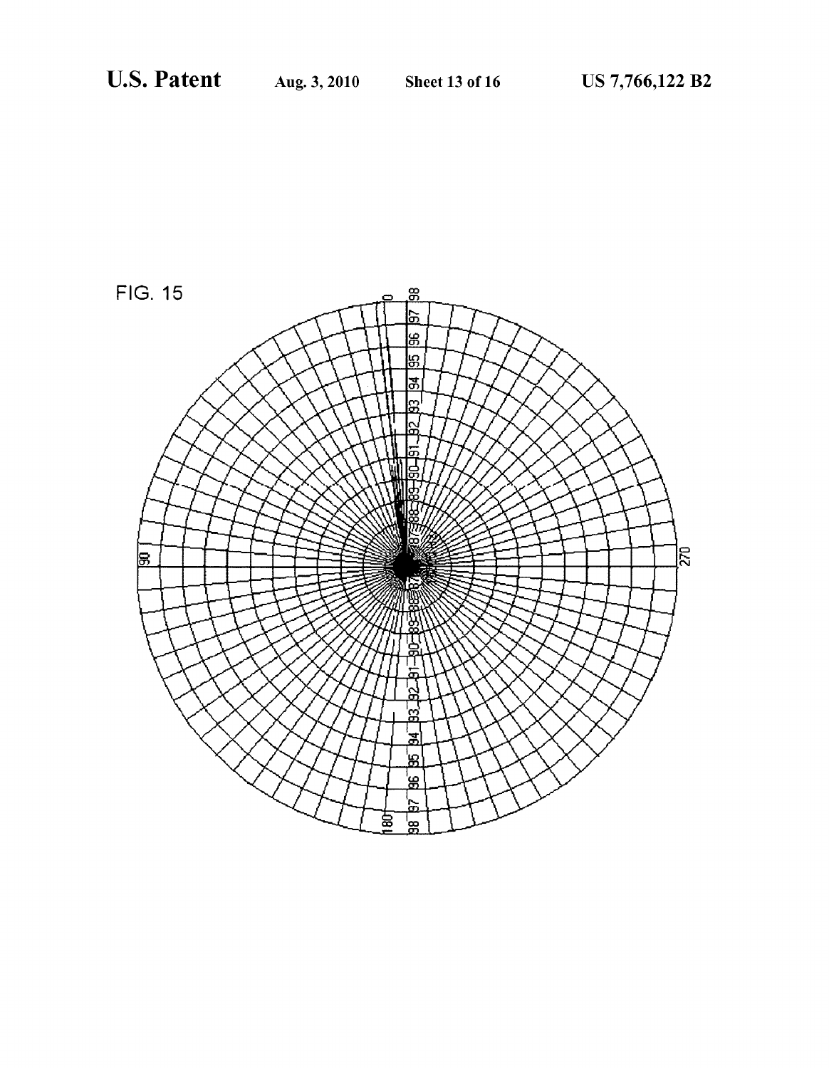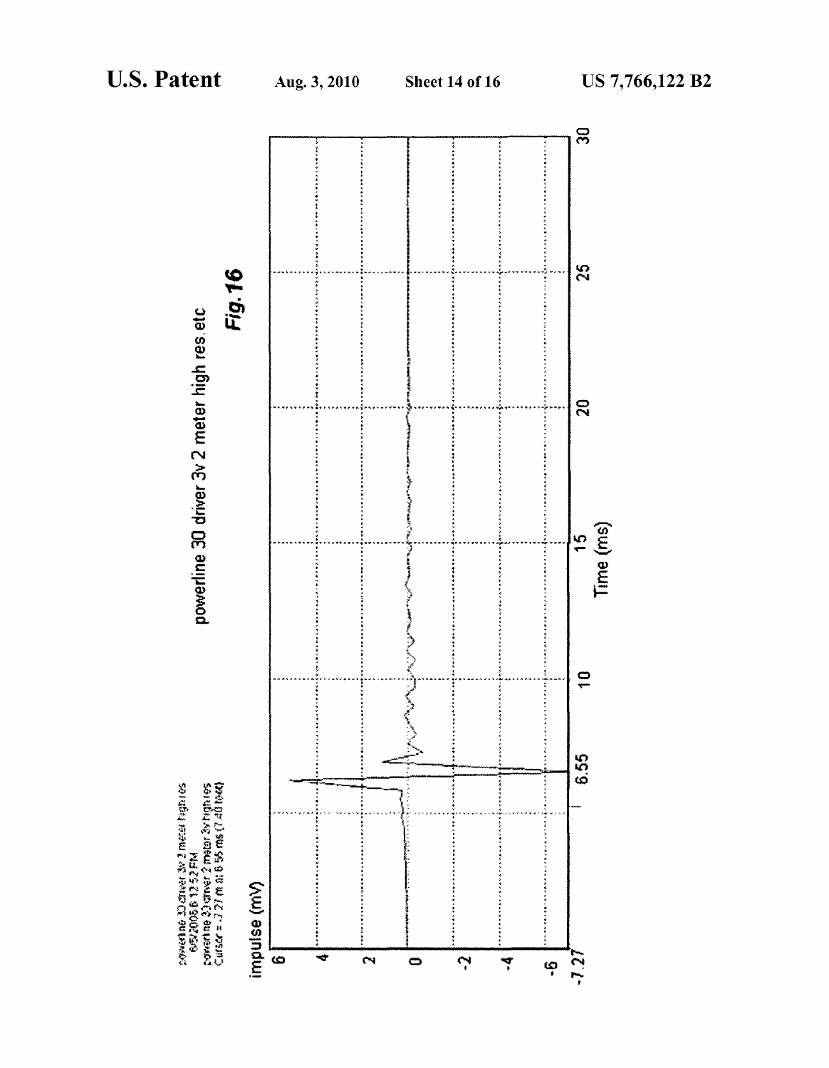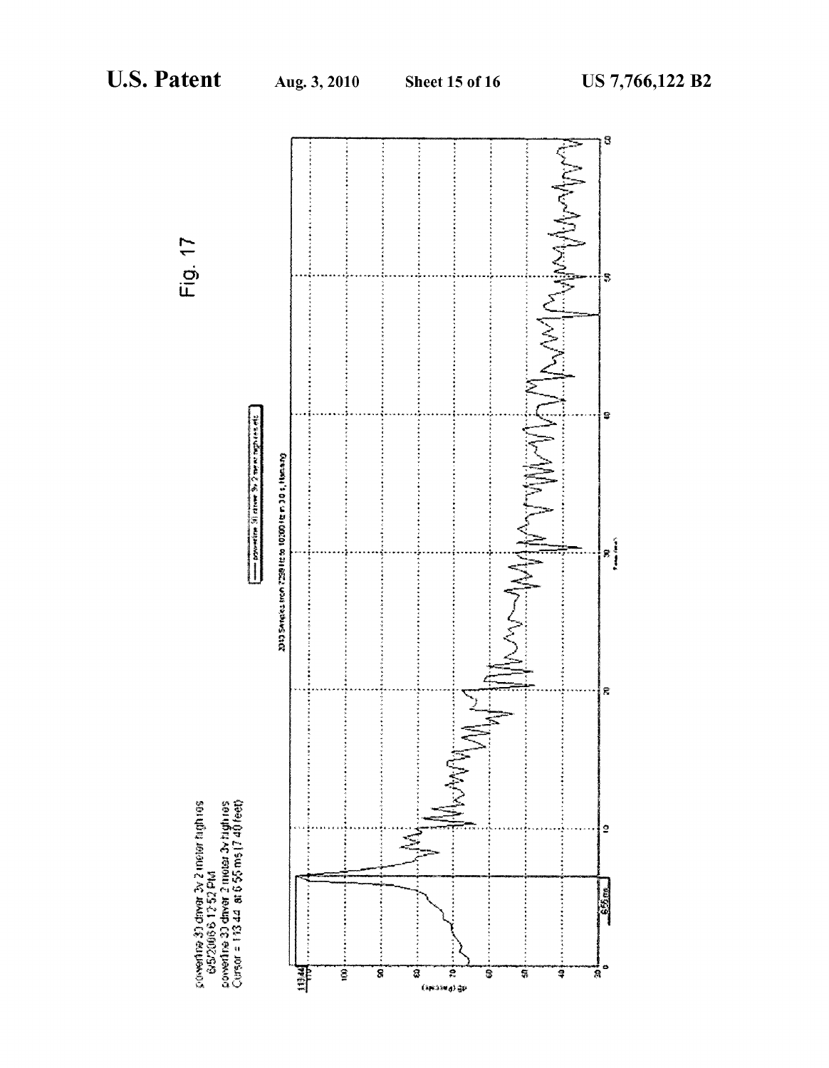

Fig. 17

povedne 3) draw 3v 2 nater high res<br>- 6/5/2006 6 1 2 52 PM<br>povedne 3) draw 2 mater 3v high res<br>Cursor = 1 13 44 IN 6 55 ms (7 40 feet)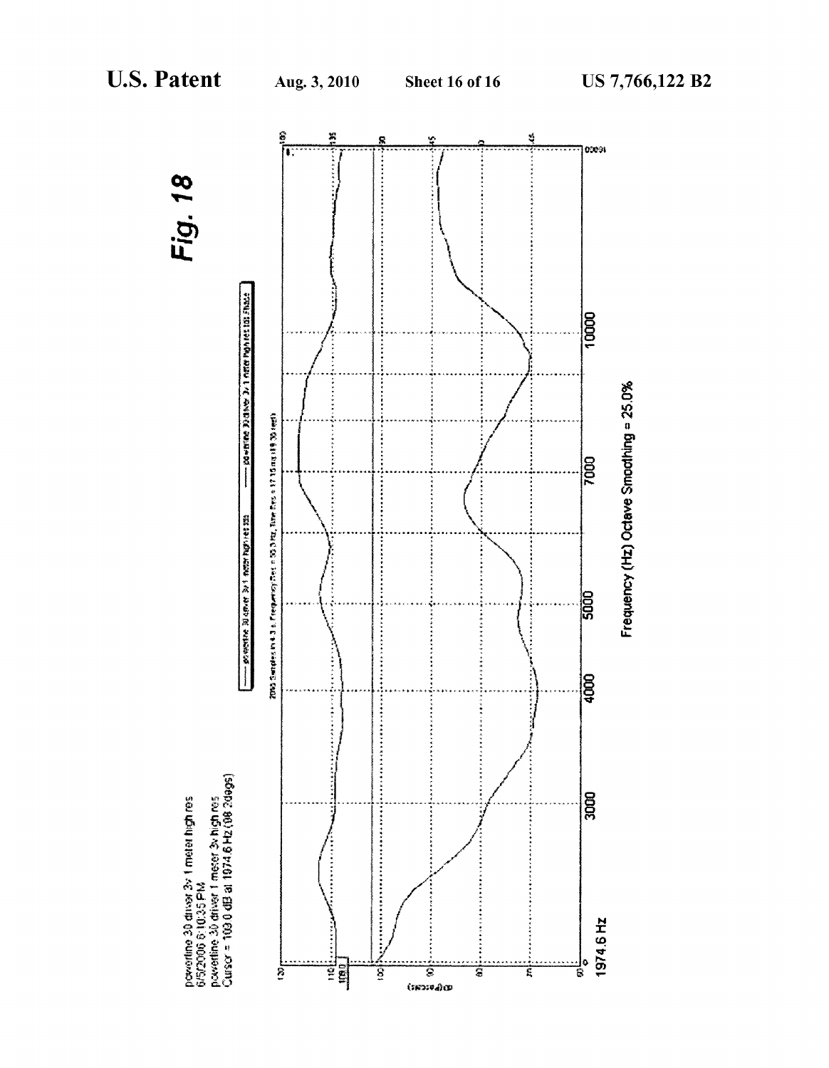Fig. 18

|ocesi

10000

**POD** 

 $\frac{1}{9}$ 

leg<br>Soo

1974.6 Hz

Frequency (Hz) Octave Smoothing = 25.0%

ĝ 絮 Ś Ŗ π  $-$  go  $-$  go  $\frac{1}{2}$  and  $\frac{1}{2}$  and  $\frac{1}{2}$  and  $\frac{1}{2}$  and  $\frac{1}{2}$ 2005 Saindes in 4.3 b. Exemperatory Pers in 195, 3 km, Then Pro a 17.15 mai 199, 1981 met) ............  $-$  powers a only  $\mathbb{R}$  and  $\mathbb{R}$  and  $\mathbb{R}$  and  $\mathbb{R}$  and  $\mathbb{R}$ ........... 5000 powertine 30 driver 3v 1 meter high res<br>6/5/2006 6:10:35 PM<br>powertine 30 driver 1 meter 3v high res<br>Cursor = 103.0 dB at 1974.6 Hz (08 2dags) J٥ ֺ׆֦֧֦֦֦֦֦֦֟֬֟֬֬֬֬֩֕֬׆֟<mark>֚</mark> Š ទ្ទិ S T ţ ē  $(mmod)$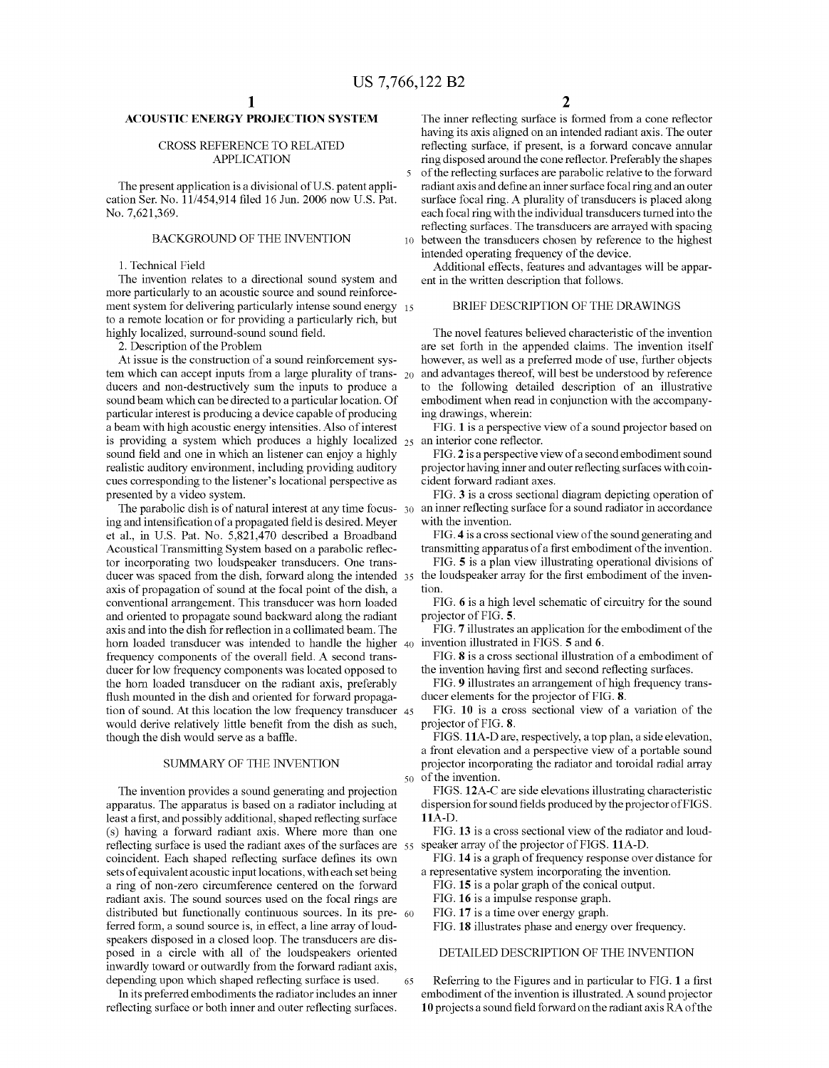# ACOUSTIC ENERGY PROJECTION SYSTEM

### CROSS REFERENCE TO RELATED APPLICATION

The present application is a divisional of U.S. patent appli cation Ser. No. 1 1/454,914 filed 16 Jun. 2006 now U.S. Pat. No. 7,621,369.

# BACKGROUND OF THE INVENTION

1. Technical Field

The invention relates to a directional sound system and more particularly to an acoustic source and sound reinforcement system for delivering particularly intense Sound energy 15 to a remote location or for providing a particularly rich, but highly localized, surround-sound sound field.

2. Description of the Problem

At issue is the construction of a sound reinforcement system which can accept inputs from a large plurality of trans- $_{20}$ ducers and non-destructively sum the inputs to produce a sound beam which can be directed to a particular location. Of particular interest is producing a device capable of producing a beam with high acoustic energy intensities. Also of interest is providing a system which produces a highly localized 25 Sound field and one in which an listener can enjoy a highly realistic auditory environment, including providing auditory cues corresponding to the listener's locational perspective as presented by a video system.

The parabolic dish is of natural interest at any time focus- 30 ing and intensification of a propagated field is desired. Meyer et al., in U.S. Pat. No. 5,821,470 described a Broadband Acoustical Transmitting System based on a parabolic reflec tor incorporating two loudspeaker transducers. One trans ducer was spaced from the dish, forward along the intended 35 the loudspeaker array for the first embodiment of the inven axis of propagation of Sound at the focal point of the dish, a conventional arrangement. This transducer was horn loaded and oriented to propagate sound backward along the radiant axis and into the dish for reflection in a collimated beam. The frequency components of the overall field. A second transducer for low frequency components was located opposed to the horn loaded transducer on the radiant axis, preferably flush mounted in the dish and oriented for forward propaga tion of Sound. At this location the low frequency transducer 45 would derive relatively little benefit from the dish as such, though the dish would serve as a baffle.

# SUMMARY OF THE INVENTION

The invention provides a sound generating and projection apparatus. The apparatus is based on a radiator including at least a first, and possibly additional, shaped reflecting surface (s) having a forward radiant axis. Where more than one reflecting surface is used the radiant axes of the surfaces are 55 speaker array of the projector of FIGS. 11A-D. coincident. Each shaped reflecting Surface defines its own sets of equivalent acoustic input locations, with each set being a ring of non-Zero circumference centered on the forward radiant axis. The sound sources used on the focal rings are distributed but functionally continuous sources. In its pre- 60 ferred form, a sound source is, in effect, a line array of loudspeakers disposed in a closed loop. The transducers are dis posed in a circle with all of the loudspeakers oriented inwardly toward or outwardly from the forward radiant axis, depending upon which shaped reflecting surface is used. 65

In its preferred embodiments the radiator includes an inner reflecting surface or both inner and outer reflecting surfaces.

The inner reflecting surface is formed from a cone reflector having its axis aligned on an intended radiant axis. The outer reflecting surface, if present, is a forward concave annular ring disposed around the cone reflector. Preferably the shapes of the reflecting surfaces are parabolic relative to the forward

10 between the transducers chosen by reference to the highest radiant axis and define an inner Surface focal ring and an outer surface focal ring. A plurality of transducers is placed along each focal ring with the individual transducers turned into the reflecting surfaces. The transducers are arrayed with spacing intended operating frequency of the device.

Additional effects, features and advantages will be appar ent in the written description that follows.

# BRIEF DESCRIPTION OF THE DRAWINGS

The novel features believed characteristic of the invention are set forth in the appended claims. The invention itself however, as well as a preferred mode of use, further objects and advantages thereof, will best be understood by reference to the following detailed description of an illustrative embodiment when read in conjunction with the accompanying drawings, wherein:

FIG. 1 is a perspective view of a sound projector based on an interior cone reflector.

FIG. 2 is a perspective view of a second embodiment sound projector having inner and outer reflecting Surfaces with coin cident forward radiant axes.

FIG. 3 is a cross sectional diagram depicting operation of an inner reflecting surface for a sound radiator in accordance with the invention.

FIG. 4 is a cross sectional view of the sound generating and transmitting apparatus of a first embodiment of the invention.

FIG. 5 is a plan view illustrating operational divisions of tion.

FIG. 6 is a high level schematic of circuitry for the sound projector of FIG. 5.

40 invention illustrated in FIGS. 5 and 6. FIG. 7 illustrates an application for the embodiment of the

FIG. 8 is a cross sectional illustration of a embodiment of the invention having first and second reflecting surfaces.

FIG. 9 illustrates an arrangement of high frequency trans ducer elements for the projector of FIG. 8.

FIG. 10 is a cross sectional view of a variation of the projector of FIG.8.

50 of the invention. FIGS. 11A-Dare, respectively, a top plan, a side elevation, a front elevation and a perspective view of a portable sound projector incorporating the radiator and toroidal radial array

FIGS. 12A-C are side elevations illustrating characteristic dispersion for sound fields produced by the projector of FIGS. 11A-D.

FIG. 13 is a cross sectional view of the radiator and loud

FIG. 14 is a graph of frequency response over distance for a representative system incorporating the invention.

FIG. 15 is a polar graph of the conical output.

FIG. 16 is a impulse response graph.

FIG. 17 is a time over energy graph.

FIG. 18 illustrates phase and energy over frequency.

DETAILED DESCRIPTION OF THE INVENTION

Referring to the Figures and in particular to FIG. 1 a first embodiment of the invention is illustrated. A sound projector 10 projects a sound field forward on the radiant axis RA of the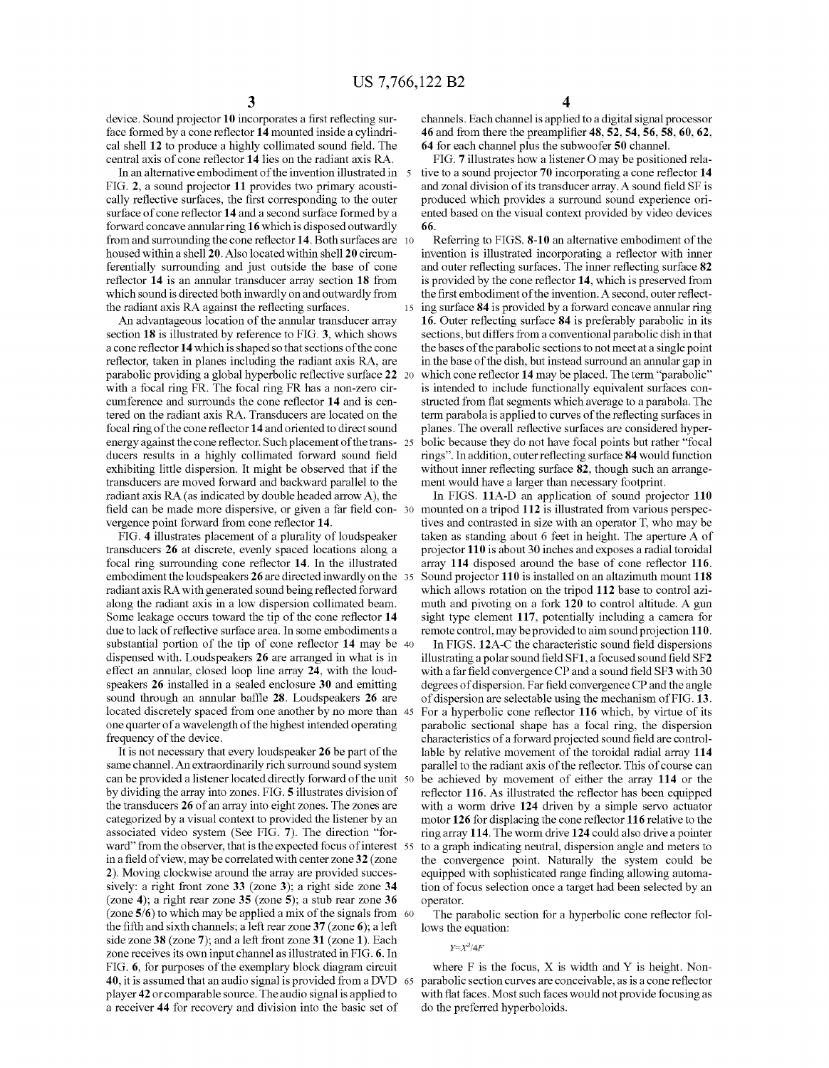device. Sound projector 10 incorporates a first reflecting sur face formed by a cone reflector 14 mounted inside a cylindri cal shell 12 to produce a highly collimated sound field. The central axis of cone reflector 14 lies on the radiant axis R.A.

In an alternative embodiment of the invention illustrated in 5 FIG. 2, a sound projector 11 provides two primary acousti cally reflective surfaces, the first corresponding to the outer surface of cone reflector 14 and a second surface formed by a forward concave annular ring 16 which is disposed outwardly from and surrounding the cone reflector 14. Both surfaces are 10 housed within a shell 20. Also located within shell 20 circum ferentially surrounding and just outside the base of cone reflector 14 is an annular transducer array section 18 from which sound is directed both inwardly on and outwardly from the radiant axis RA against the reflecting surfaces.

An advantageous location of the annular transducer array section 18 is illustrated by reference to FIG. 3, which shows a cone reflector 14 which is shaped so that sections of the cone reflector, taken in planes including the radiant axis RA, are parabolic providing a global hyperbolic reflective surface 22 with a focal ring FR. The focal ring FR has a non-zero cir cumference and Surrounds the cone reflector 14 and is cen tered on the radiant axis RA. Transducers are located on the focal ring of the cone reflector 14 and oriented to direct sound energy against the cone reflector. Such placement of the trans 25 ducers results in a highly collimated forward sound field exhibiting little dispersion. It might be observed that if the transducers are moved forward and backward parallel to the radiant axis RA (as indicated by double headed arrow A), the field can be made more dispersive, or given a far field con- 30 vergence point forward from cone reflector 14.

FIG. 4 illustrates placement of a plurality of loudspeaker transducers 26 at discrete, evenly spaced locations along a focal ring surrounding cone reflector 14. In the illustrated embodiment the loudspeakers 26 are directed inwardly on the 35 radiant axis RA with generated sound being reflected forward along the radiant axis in a low dispersion collimated beam. Some leakage occurs toward the tip of the cone reflector 14 due to lack of reflective surface area. In some embodiments a substantial portion of the tip of cone reflector 14 may be 40 dispensed with. Loudspeakers 26 are arranged in what is in effect an annular, closed loop line array 24, with the loud speakers 26 installed in a sealed enclosure 30 and emitting sound through an annular baffle 28. Loudspeakers 26 are located discretely spaced from one another by no more than 45 one quarter of a wavelength of the highest intended operating frequency of the device.

It is not necessary that every loudspeaker 26 be part of the same channel. An extraordinarily rich surround sound system can be provided a listener located directly forward of the unit 50 by dividing the array into Zones. FIG. 5 illustrates division of the transducers 26 of an array into eight Zones. The Zones are categorized by a visual context to provided the listener by an associated video system (See FIG. 7). The direction "for ward" from the observer, that is the expected focus of interest 55 in a field of view, may be correlated with center Zone32 (Zone 2). Moving clockwise around the array are provided successively: a right front zone 33 (zone 3); a right side zone 34 (Zone 4); a right rear Zone 35 (Zone 5); a stub rear Zone 36 (Zone 5/6) to which may be applied a mix of the signals from 60 the fifth and sixth channels; a left rear zone  $37$  (zone 6); a left side zone 38 (zone 7); and a left front zone 31 (zone 1). Each Zone receives its own input channel as illustrated in FIG. 6. In FIG. 6, for purposes of the exemplary block diagram circuit 40, it is assumed that an audio signal is provided from a DVD player 42 or comparable source. The audio signal is applied to a receiver 44 for recovery and division into the basic set of 65

channels. Each channel is applied to a digital signal processor 46 and from there the preamplifier 48, 52,54, 56,58, 60, 62. 64 for each channel plus the subwoofer 50 channel.

FIG. 7 illustrates how a listener O may be positioned rela tive to a sound projector 70 incorporating a cone reflector 14 and Zonal division of its transducer array. A sound field SF is produced which provides a Surround sound experience ori ented based on the visual context provided by video devices 66.

15 Referring to FIGS. 8-10 an alternative embodiment of the invention is illustrated incorporating a reflector with inner and outer reflecting surfaces. The inner reflecting surface 82 is provided by the cone reflector 14, which is preserved from the first embodiment of the invention. A second, outer reflecting surface 84 is provided by a forward concave annular ring 16. Outer reflecting surface 84 is preferably parabolic in its sections, but differs from a conventional parabolic dish in that the bases of the parabolic sections to not meet at a single point in the base of the dish, but instead surround an annular gap in which cone reflector 14 may be placed. The term "parabolic" is intended to include functionally equivalent surfaces constructed from flat segments which average to a parabola. The term parabola is applied to curves of the reflecting surfaces in planes. The overall reflective surfaces are considered hyper bolic because they do not have focal points but rather "focal rings'. In addition, outer reflecting surface 84 would function without inner reflecting surface 82, though such an arrangement would have a larger than necessary footprint.

In FIGS. 11A-D an application of sound projector 110 mounted on a tripod 112 is illustrated from various perspec tives and contrasted in size with an operator T, who may be taken as standing about 6 feet in height. The aperture A of projector 110 is about 30 inches and exposes a radial toroidal array 114 disposed around the base of cone reflector 116. Sound projector 110 is installed on an altazimuth mount 118 which allows rotation on the tripod 112 base to control azimuth and pivoting on a fork 120 to control altitude. A gun sight type element 117, potentially including a camera for

remote control, may be provided to aim sound projection 110.<br>In FIGS. 12A-C the characteristic sound field dispersions illustrating a polar sound field  $SFI$ , a focused sound field  $SF2$ with a far field convergence CP and a sound field SF3 with 30 degrees of dispersion. Far field convergence CP and the angle of dispersion are selectable using the mechanism of FIG. 13. For a hyperbolic cone reflector 116 which, by virtue of its parabolic sectional shape has a focal ring, the dispersion characteristics of a forward projected sound field are control lable by relative movement of the toroidal radial array 114 parallel to the radiant axis of the reflector. This of course can be achieved by movement of either the array 114 or the reflector 116. As illustrated the reflector has been equipped with a worm drive 124 driven by a simple servo actuator motor 126 for displacing the cone reflector 116 relative to the ring array 114. The worm drive 124 could also drive a pointer to a graph indicating neutral, dispersion angle and meters to the convergence point. Naturally the system could be equipped with sophisticated range finding allowing automation of focus selection once a target had been selected by an operator.

The parabolic section for a hyperbolic cone reflector fol lows the equation:

 $Y = X^2/4F$ 

where  $F$  is the focus,  $X$  is width and  $Y$  is height. Nonparabolic section curves are conceivable, as is a cone reflector with flat faces. Most such faces would not provide focusing as do the preferred hyperboloids.